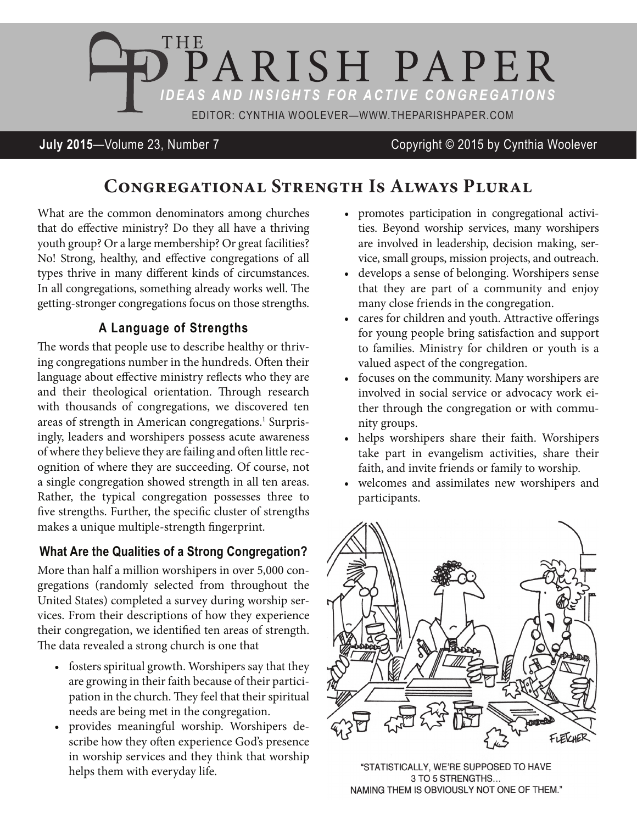

**July 2015**—Volume 23, Number 7 Copyright © 2015 by Cynthia Woolever

# **Congregational Strength Is Always Plural**

What are the common denominators among churches that do effective ministry? Do they all have a thriving youth group? Or a large membership? Or great facilities? No! Strong, healthy, and effective congregations of all types thrive in many different kinds of circumstances. In all congregations, something already works well. The getting-stronger congregations focus on those strengths.

### **A Language of Strengths**

The words that people use to describe healthy or thriving congregations number in the hundreds. Often their language about effective ministry reflects who they are and their theological orientation. Through research with thousands of congregations, we discovered ten areas of strength in American congregations.<sup>1</sup> Surprisingly, leaders and worshipers possess acute awareness of where they believe they are failing and often little recognition of where they are succeeding. Of course, not a single congregation showed strength in all ten areas. Rather, the typical congregation possesses three to five strengths. Further, the specific cluster of strengths makes a unique multiple-strength fingerprint.

### **What Are the Qualities of a Strong Congregation?**

More than half a million worshipers in over 5,000 congregations (randomly selected from throughout the United States) completed a survey during worship services. From their descriptions of how they experience their congregation, we identified ten areas of strength. The data revealed a strong church is one that

- fosters spiritual growth. Worshipers say that they are growing in their faith because of their participation in the church. They feel that their spiritual needs are being met in the congregation.
- • provides meaningful worship. Worshipers describe how they often experience God's presence in worship services and they think that worship helps them with everyday life.
- promotes participation in congregational activities. Beyond worship services, many worshipers are involved in leadership, decision making, service, small groups, mission projects, and outreach.
- • develops a sense of belonging. Worshipers sense that they are part of a community and enjoy many close friends in the congregation.
- cares for children and youth. Attractive offerings for young people bring satisfaction and support to families. Ministry for children or youth is a valued aspect of the congregation.
- focuses on the community. Many worshipers are involved in social service or advocacy work either through the congregation or with community groups.
- helps worshipers share their faith. Worshipers take part in evangelism activities, share their faith, and invite friends or family to worship.
- • welcomes and assimilates new worshipers and participants.



"STATISTICALLY, WE'RE SUPPOSED TO HAVE 3 TO 5 STRENGTHS... NAMING THEM IS OBVIOUSLY NOT ONE OF THEM."